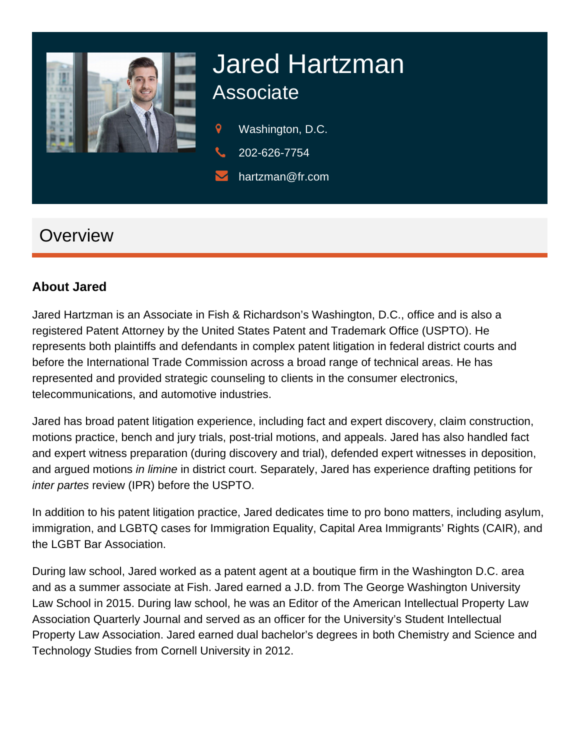

# Jared Hartzman **Associate**

- 9 Washington, D.C.
- 202-626-7754
- hartzman@fr.com

# **Overview**

### **About Jared**

Jared Hartzman is an Associate in Fish & Richardson's Washington, D.C., office and is also a registered Patent Attorney by the United States Patent and Trademark Office (USPTO). He represents both plaintiffs and defendants in complex patent litigation in federal district courts and before the International Trade Commission across a broad range of technical areas. He has represented and provided strategic counseling to clients in the consumer electronics, telecommunications, and automotive industries.

Jared has broad patent litigation experience, including fact and expert discovery, claim construction, motions practice, bench and jury trials, post-trial motions, and appeals. Jared has also handled fact and expert witness preparation (during discovery and trial), defended expert witnesses in deposition, and argued motions in limine in district court. Separately, Jared has experience drafting petitions for inter partes review (IPR) before the USPTO.

In addition to his patent litigation practice, Jared dedicates time to pro bono matters, including asylum, immigration, and LGBTQ cases for Immigration Equality, Capital Area Immigrants' Rights (CAIR), and the LGBT Bar Association.

During law school, Jared worked as a patent agent at a boutique firm in the Washington D.C. area and as a summer associate at Fish. Jared earned a J.D. from The George Washington University Law School in 2015. During law school, he was an Editor of the American Intellectual Property Law Association Quarterly Journal and served as an officer for the University's Student Intellectual Property Law Association. Jared earned dual bachelor's degrees in both Chemistry and Science and Technology Studies from Cornell University in 2012.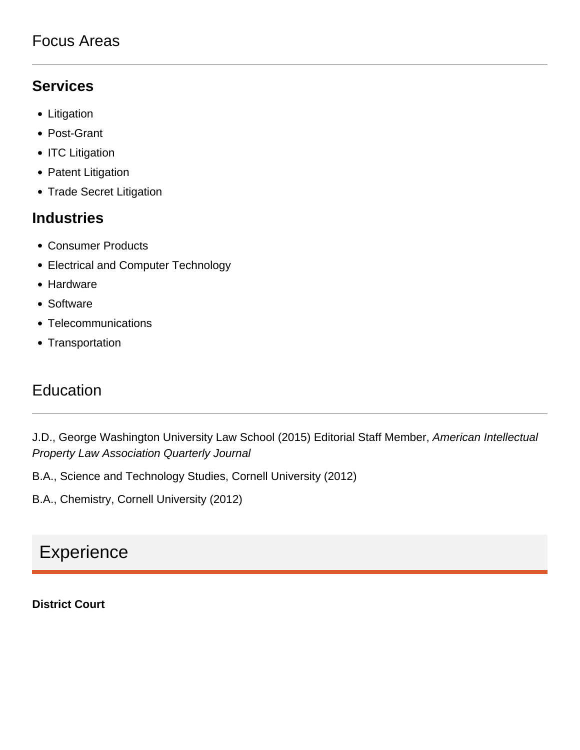### Focus Areas

# **Services**

- Litigation
- Post-Grant
- ITC Litigation
- Patent Litigation
- Trade Secret Litigation

### **Industries**

- Consumer Products
- Electrical and Computer Technology
- Hardware
- Software
- Telecommunications
- Transportation

# Education

J.D., George Washington University Law School (2015) Editorial Staff Member, American Intellectual Property Law Association Quarterly Journal

B.A., Science and Technology Studies, Cornell University (2012)

B.A., Chemistry, Cornell University (2012)

# **Experience**

### **District Court**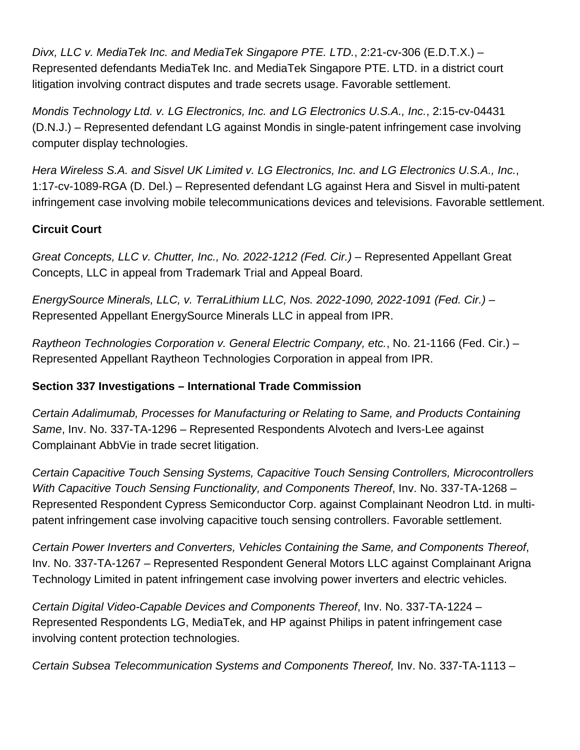Divx, LLC v. MediaTek Inc. and MediaTek Singapore PTE. LTD., 2:21-cv-306 (E.D.T.X.) – Represented defendants MediaTek Inc. and MediaTek Singapore PTE. LTD. in a district court litigation involving contract disputes and trade secrets usage. Favorable settlement.

Mondis Technology Ltd. v. LG Electronics, Inc. and LG Electronics U.S.A., Inc., 2:15-cv-04431 (D.N.J.) – Represented defendant LG against Mondis in single-patent infringement case involving computer display technologies.

Hera Wireless S.A. and Sisvel UK Limited v. LG Electronics, Inc. and LG Electronics U.S.A., Inc., 1:17-cv-1089-RGA (D. Del.) – Represented defendant LG against Hera and Sisvel in multi-patent infringement case involving mobile telecommunications devices and televisions. Favorable settlement.

### **Circuit Court**

Great Concepts, LLC v. Chutter, Inc., No. 2022-1212 (Fed. Cir.) – Represented Appellant Great Concepts, LLC in appeal from Trademark Trial and Appeal Board.

EnergySource Minerals, LLC, v. TerraLithium LLC, Nos. 2022-1090, 2022-1091 (Fed. Cir.) – Represented Appellant EnergySource Minerals LLC in appeal from IPR.

Raytheon Technologies Corporation v. General Electric Company, etc., No. 21-1166 (Fed. Cir.) – Represented Appellant Raytheon Technologies Corporation in appeal from IPR.

### **Section 337 Investigations – International Trade Commission**

Certain Adalimumab, Processes for Manufacturing or Relating to Same, and Products Containing Same, Inv. No. 337-TA-1296 – Represented Respondents Alvotech and Ivers-Lee against Complainant AbbVie in trade secret litigation.

Certain Capacitive Touch Sensing Systems, Capacitive Touch Sensing Controllers, Microcontrollers With Capacitive Touch Sensing Functionality, and Components Thereof, Inv. No. 337-TA-1268 – Represented Respondent Cypress Semiconductor Corp. against Complainant Neodron Ltd. in multipatent infringement case involving capacitive touch sensing controllers. Favorable settlement.

Certain Power Inverters and Converters, Vehicles Containing the Same, and Components Thereof, Inv. No. 337-TA-1267 – Represented Respondent General Motors LLC against Complainant Arigna Technology Limited in patent infringement case involving power inverters and electric vehicles.

Certain Digital Video-Capable Devices and Components Thereof, Inv. No. 337-TA-1224 – Represented Respondents LG, MediaTek, and HP against Philips in patent infringement case involving content protection technologies.

Certain Subsea Telecommunication Systems and Components Thereof, Inv. No. 337-TA-1113 –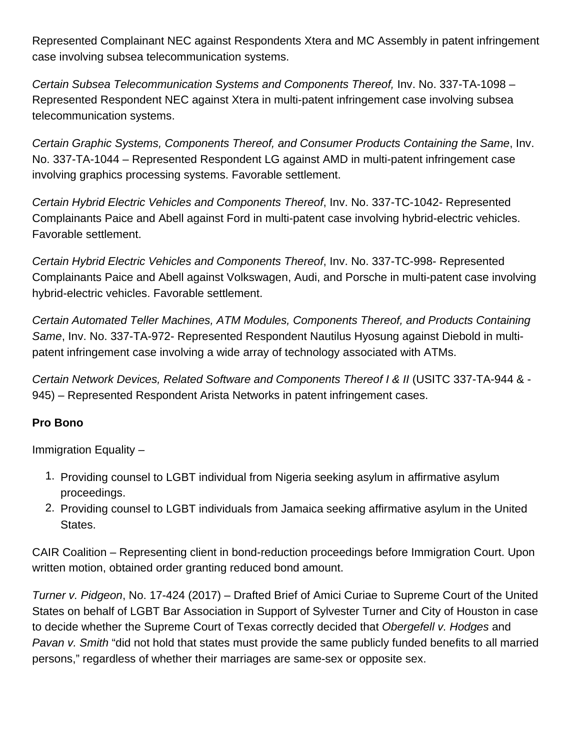Represented Complainant NEC against Respondents Xtera and MC Assembly in patent infringement case involving subsea telecommunication systems.

Certain Subsea Telecommunication Systems and Components Thereof, Inv. No. 337-TA-1098 – Represented Respondent NEC against Xtera in multi-patent infringement case involving subsea telecommunication systems.

Certain Graphic Systems, Components Thereof, and Consumer Products Containing the Same, Inv. No. 337-TA-1044 – Represented Respondent LG against AMD in multi-patent infringement case involving graphics processing systems. Favorable settlement.

Certain Hybrid Electric Vehicles and Components Thereof, Inv. No. 337-TC-1042- Represented Complainants Paice and Abell against Ford in multi-patent case involving hybrid-electric vehicles. Favorable settlement.

Certain Hybrid Electric Vehicles and Components Thereof, Inv. No. 337-TC-998- Represented Complainants Paice and Abell against Volkswagen, Audi, and Porsche in multi-patent case involving hybrid-electric vehicles. Favorable settlement.

Certain Automated Teller Machines, ATM Modules, Components Thereof, and Products Containing Same, Inv. No. 337-TA-972- Represented Respondent Nautilus Hyosung against Diebold in multipatent infringement case involving a wide array of technology associated with ATMs.

Certain Network Devices, Related Software and Components Thereof I & II (USITC 337-TA-944 & - 945) – Represented Respondent Arista Networks in patent infringement cases.

#### Pro Bono

Immigration Equality –

- 1. Providing counsel to LGBT individual from Nigeria seeking asylum in affirmative asylum proceedings.
- 2. Providing counsel to LGBT individuals from Jamaica seeking affirmative asylum in the United States.

CAIR Coalition – Representing client in bond-reduction proceedings before Immigration Court. Upon written motion, obtained order granting reduced bond amount.

Turner v. Pidgeon, No. 17-424 (2017) – Drafted Brief of Amici Curiae to Supreme Court of the United States on behalf of LGBT Bar Association in Support of Sylvester Turner and City of Houston in case to decide whether the Supreme Court of Texas correctly decided that [Obergefell v. Hodges](https://web.archive.org/web/20210412024229/http://www.scotusblog.com/case-files/cases/obergefell-v-hodges/) and Pavan v. Smith "did not hold that states must provide the same publicly funded benefits to all married persons," regardless of whether their marriages are same-sex or opposite sex.